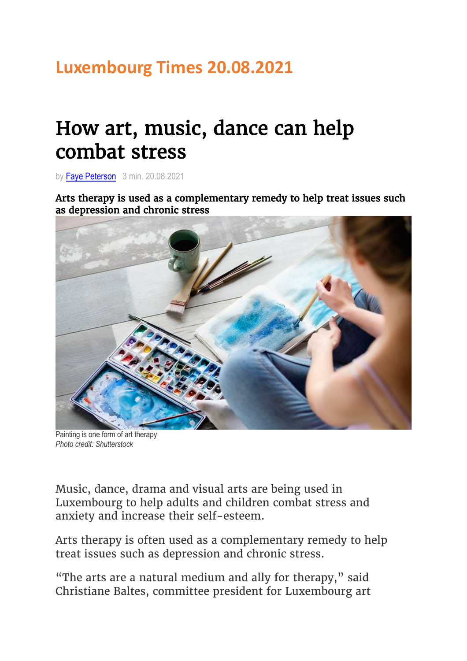## **Luxembourg Times 20.08.2021**

## How art, music, dance can help combat stress

by Faye Peterson 3 min. 20.08.2021

Arts therapy is used as a complementary remedy to help treat issues such as depression and chronic stress



Painting is one form of art therapy *Photo credit: Shutterstock*

Music, dance, drama and visual arts are being used in Luxembourg to help adults and children combat stress and anxiety and increase their self-esteem.

Arts therapy is often used as a complementary remedy to help treat issues such as depression and chronic stress.

"The arts are a natural medium and ally for therapy," said Christiane Baltes, committee president for Luxembourg art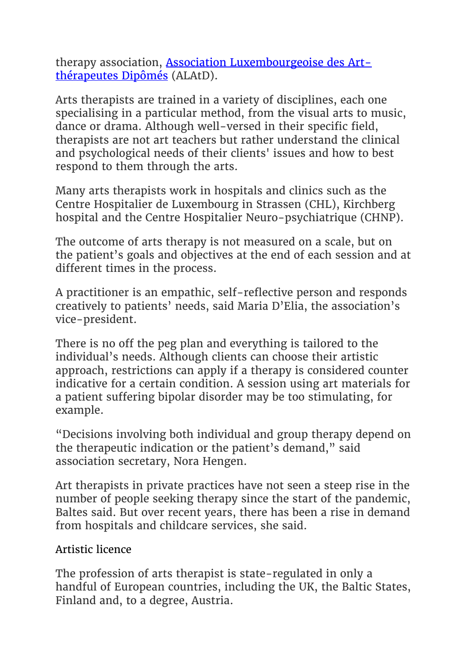therapy association, Association Luxembourgeoise des Artthérapeutes Dipômés (ALAtD).

Arts therapists are trained in a variety of disciplines, each one specialising in a particular method, from the visual arts to music, dance or drama. Although well-versed in their specific field, therapists are not art teachers but rather understand the clinical and psychological needs of their clients' issues and how to best respond to them through the arts.

Many arts therapists work in hospitals and clinics such as the Centre Hospitalier de Luxembourg in Strassen (CHL), Kirchberg hospital and the Centre Hospitalier Neuro-psychiatrique (CHNP).

The outcome of arts therapy is not measured on a scale, but on the patient's goals and objectives at the end of each session and at different times in the process.

A practitioner is an empathic, self-reflective person and responds creatively to patients' needs, said Maria D'Elia, the association's vice-president.

There is no off the peg plan and everything is tailored to the individual's needs. Although clients can choose their artistic approach, restrictions can apply if a therapy is considered counter indicative for a certain condition. A session using art materials for a patient suffering bipolar disorder may be too stimulating, for example.

"Decisions involving both individual and group therapy depend on the therapeutic indication or the patient's demand," said association secretary, Nora Hengen.

Art therapists in private practices have not seen a steep rise in the number of people seeking therapy since the start of the pandemic, Baltes said. But over recent years, there has been a rise in demand from hospitals and childcare services, she said.

## Artistic licence

The profession of arts therapist is state-regulated in only a handful of European countries, including the UK, the Baltic States, Finland and, to a degree, Austria.